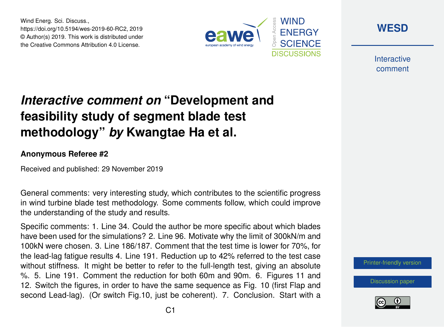Wind Energ. Sci. Discuss., https://doi.org/10.5194/wes-2019-60-RC2, 2019 © Author(s) 2019. This work is distributed under the Creative Commons Attribution 4.0 License.





**Interactive** comment

## *Interactive comment on* **"Development and feasibility study of segment blade test methodology"** *by* **Kwangtae Ha et al.**

## **Anonymous Referee #2**

Received and published: 29 November 2019

General comments: very interesting study, which contributes to the scientific progress in wind turbine blade test methodology. Some comments follow, which could improve the understanding of the study and results.

Specific comments: 1. Line 34. Could the author be more specific about which blades have been used for the simulations? 2. Line 96. Motivate why the limit of 300kN/m and 100kN were chosen. 3. Line 186/187. Comment that the test time is lower for 70%, for the lead-lag fatigue results 4. Line 191. Reduction up to 42% referred to the test case without stiffness. It might be better to refer to the full-length test, giving an absolute %. 5. Line 191. Comment the reduction for both 60m and 90m. 6. Figures 11 and 12. Switch the figures, in order to have the same sequence as Fig. 10 (first Flap and second Lead-lag). (Or switch Fig.10, just be coherent). 7. Conclusion. Start with a



[Discussion paper](https://www.wind-energ-sci-discuss.net/wes-2019-60)